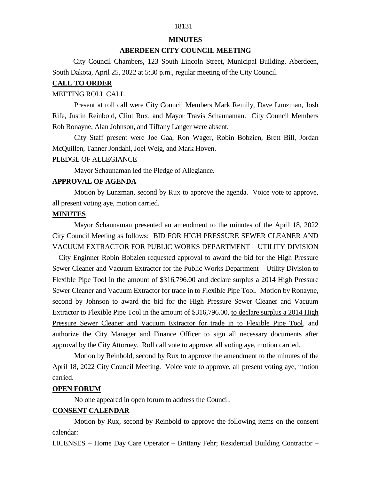# 18131

# **MINUTES**

# **ABERDEEN CITY COUNCIL MEETING**

 City Council Chambers, 123 South Lincoln Street, Municipal Building, Aberdeen, South Dakota, April 25, 2022 at 5:30 p.m., regular meeting of the City Council.

# **CALL TO ORDER**

## MEETING ROLL CALL

Present at roll call were City Council Members Mark Remily, Dave Lunzman, Josh Rife, Justin Reinbold, Clint Rux, and Mayor Travis Schaunaman. City Council Members Rob Ronayne, Alan Johnson, and Tiffany Langer were absent.

City Staff present were Joe Gaa, Ron Wager, Robin Bobzien, Brett Bill, Jordan McQuillen, Tanner Jondahl, Joel Weig, and Mark Hoven.

### PLEDGE OF ALLEGIANCE

Mayor Schaunaman led the Pledge of Allegiance.

# **APPROVAL OF AGENDA**

Motion by Lunzman, second by Rux to approve the agenda. Voice vote to approve, all present voting aye, motion carried.

# **MINUTES**

Mayor Schaunaman presented an amendment to the minutes of the April 18, 2022 City Council Meeting as follows: BID FOR HIGH PRESSURE SEWER CLEANER AND VACUUM EXTRACTOR FOR PUBLIC WORKS DEPARTMENT – UTILITY DIVISION – City Enginner Robin Bobzien requested approval to award the bid for the High Pressure Sewer Cleaner and Vacuum Extractor for the Public Works Department – Utility Division to Flexible Pipe Tool in the amount of \$316,796.00 and declare surplus a 2014 High Pressure Sewer Cleaner and Vacuum Extractor for trade in to Flexible Pipe Tool. Motion by Ronayne, second by Johnson to award the bid for the High Pressure Sewer Cleaner and Vacuum Extractor to Flexible Pipe Tool in the amount of \$316,796.00, to declare surplus a 2014 High Pressure Sewer Cleaner and Vacuum Extractor for trade in to Flexible Pipe Tool, and authorize the City Manager and Finance Officer to sign all necessary documents after approval by the City Attorney. Roll call vote to approve, all voting aye, motion carried.

Motion by Reinbold, second by Rux to approve the amendment to the minutes of the April 18, 2022 City Council Meeting. Voice vote to approve, all present voting aye, motion carried.

### **OPEN FORUM**

No one appeared in open forum to address the Council.

# **CONSENT CALENDAR**

Motion by Rux, second by Reinbold to approve the following items on the consent calendar:

LICENSES – Home Day Care Operator – Brittany Fehr; Residential Building Contractor –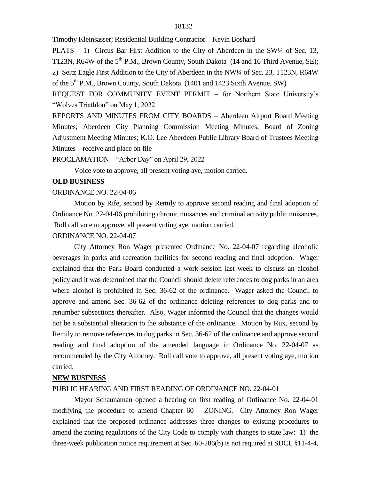Timothy Kleinsasser; Residential Building Contractor – Kevin Boshard

PLATS – 1) Circus Bar First Addition to the City of Aberdeen in the  $SW<sup>1/4</sup>$  of Sec. 13, T123N, R64W of the 5<sup>th</sup> P.M., Brown County, South Dakota (14 and 16 Third Avenue, SE); 2) Seitz Eagle First Addition to the City of Aberdeen in the NW¼ of Sec. 23, T123N, R64W of the 5<sup>th</sup> P.M., Brown County, South Dakota (1401 and 1423 Sixth Avenue, SW)

REQUEST FOR COMMUNITY EVENT PERMIT – for Northern State University's "Wolves Triathlon" on May 1, 2022

REPORTS AND MINUTES FROM CITY BOARDS – Aberdeen Airport Board Meeting Minutes; Aberdeen City Planning Commission Meeting Minutes; Board of Zoning Adjustment Meeting Minutes; K.O. Lee Aberdeen Public Library Board of Trustees Meeting Minutes – receive and place on file

PROCLAMATION – "Arbor Day" on April 29, 2022

Voice vote to approve, all present voting aye, motion carried.

# **OLD BUSINESS**

# ORDINANCE NO. 22-04-06

Motion by Rife, second by Remily to approve second reading and final adoption of Ordinance No. 22-04-06 prohibiting chronic nuisances and criminal activity public nuisances. Roll call vote to approve, all present voting aye, motion carried.

#### ORDINANCE NO. 22-04-07

City Attorney Ron Wager presented Ordinance No. 22-04-07 regarding alcoholic beverages in parks and recreation facilities for second reading and final adoption. Wager explained that the Park Board conducted a work session last week to discuss an alcohol policy and it was determined that the Council should delete references to dog parks in an area where alcohol is prohibited in Sec. 36-62 of the ordinance. Wager asked the Council to approve and amend Sec. 36-62 of the ordinance deleting references to dog parks and to renumber subsections thereafter. Also, Wager informed the Council that the changes would not be a substantial alteration to the substance of the ordinance. Motion by Rux, second by Remily to remove references to dog parks in Sec. 36-62 of the ordinance and approve second reading and final adoption of the amended language in Ordinance No. 22-04-07 as recommended by the City Attorney. Roll call vote to approve, all present voting aye, motion carried.

### **NEW BUSINESS**

### PUBLIC HEARING AND FIRST READING OF ORDINANCE NO. 22-04-01

Mayor Schaunaman opened a hearing on first reading of Ordinance No. 22-04-01 modifying the procedure to amend Chapter 60 – ZONING. City Attorney Ron Wager explained that the proposed ordinance addresses three changes to existing procedures to amend the zoning regulations of the City Code to comply with changes to state law: 1) the three-week publication notice requirement at Sec. 60-286(b) is not required at SDCL §11-4-4,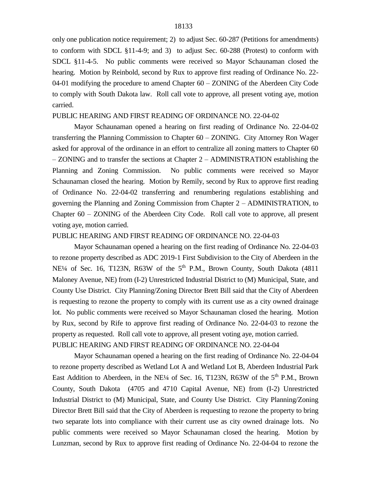only one publication notice requirement; 2) to adjust Sec. 60-287 (Petitions for amendments) to conform with SDCL §11-4-9; and 3) to adjust Sec. 60-288 (Protest) to conform with SDCL §11-4-5. No public comments were received so Mayor Schaunaman closed the hearing. Motion by Reinbold, second by Rux to approve first reading of Ordinance No. 22- 04-01 modifying the procedure to amend Chapter 60 – ZONING of the Aberdeen City Code to comply with South Dakota law. Roll call vote to approve, all present voting aye, motion carried.

### PUBLIC HEARING AND FIRST READING OF ORDINANCE NO. 22-04-02

Mayor Schaunaman opened a hearing on first reading of Ordinance No. 22-04-02 transferring the Planning Commission to Chapter 60 – ZONING. City Attorney Ron Wager asked for approval of the ordinance in an effort to centralize all zoning matters to Chapter 60 – ZONING and to transfer the sections at Chapter 2 – ADMINISTRATION establishing the Planning and Zoning Commission. No public comments were received so Mayor Schaunaman closed the hearing. Motion by Remily, second by Rux to approve first reading of Ordinance No. 22-04-02 transferring and renumbering regulations establishing and governing the Planning and Zoning Commission from Chapter 2 – ADMINISTRATION, to Chapter 60 – ZONING of the Aberdeen City Code. Roll call vote to approve, all present voting aye, motion carried.

#### PUBLIC HEARING AND FIRST READING OF ORDINANCE NO. 22-04-03

Mayor Schaunaman opened a hearing on the first reading of Ordinance No. 22-04-03 to rezone property described as ADC 2019-1 First Subdivision to the City of Aberdeen in the NE<sup> $1/4$ </sup> of Sec. 16, T123N, R63W of the  $5<sup>th</sup>$  P.M., Brown County, South Dakota (4811) Maloney Avenue, NE) from (I-2) Unrestricted Industrial District to (M) Municipal, State, and County Use District. City Planning/Zoning Director Brett Bill said that the City of Aberdeen is requesting to rezone the property to comply with its current use as a city owned drainage lot. No public comments were received so Mayor Schaunaman closed the hearing. Motion by Rux, second by Rife to approve first reading of Ordinance No. 22-04-03 to rezone the property as requested. Roll call vote to approve, all present voting aye, motion carried. PUBLIC HEARING AND FIRST READING OF ORDINANCE NO. 22-04-04

Mayor Schaunaman opened a hearing on the first reading of Ordinance No. 22-04-04 to rezone property described as Wetland Lot A and Wetland Lot B, Aberdeen Industrial Park East Addition to Aberdeen, in the NE<sup> $1/4$ </sup> of Sec. 16, T123N, R63W of the  $5<sup>th</sup>$  P.M., Brown County, South Dakota (4705 and 4710 Capital Avenue, NE) from (I-2) Unrestricted Industrial District to (M) Municipal, State, and County Use District. City Planning/Zoning Director Brett Bill said that the City of Aberdeen is requesting to rezone the property to bring two separate lots into compliance with their current use as city owned drainage lots. No public comments were received so Mayor Schaunaman closed the hearing. Motion by Lunzman, second by Rux to approve first reading of Ordinance No. 22-04-04 to rezone the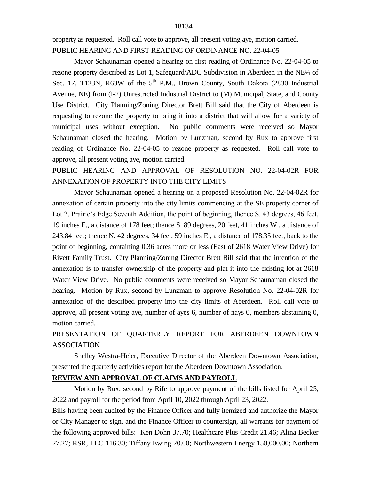property as requested. Roll call vote to approve, all present voting aye, motion carried. PUBLIC HEARING AND FIRST READING OF ORDINANCE NO. 22-04-05

Mayor Schaunaman opened a hearing on first reading of Ordinance No. 22-04-05 to rezone property described as Lot 1, Safeguard/ADC Subdivision in Aberdeen in the NE¼ of Sec. 17, T123N, R63W of the  $5<sup>th</sup>$  P.M., Brown County, South Dakota (2830 Industrial Avenue, NE) from (I-2) Unrestricted Industrial District to (M) Municipal, State, and County Use District. City Planning/Zoning Director Brett Bill said that the City of Aberdeen is requesting to rezone the property to bring it into a district that will allow for a variety of municipal uses without exception. No public comments were received so Mayor Schaunaman closed the hearing. Motion by Lunzman, second by Rux to approve first reading of Ordinance No. 22-04-05 to rezone property as requested. Roll call vote to approve, all present voting aye, motion carried.

PUBLIC HEARING AND APPROVAL OF RESOLUTION NO. 22-04-02R FOR ANNEXATION OF PROPERTY INTO THE CITY LIMITS

Mayor Schaunaman opened a hearing on a proposed Resolution No. 22-04-02R for annexation of certain property into the city limits commencing at the SE property corner of Lot 2, Prairie's Edge Seventh Addition, the point of beginning, thence S. 43 degrees, 46 feet, 19 inches E., a distance of 178 feet; thence S. 89 degrees, 20 feet, 41 inches W., a distance of 243.84 feet; thence N. 42 degrees, 34 feet, 59 inches E., a distance of 178.35 feet, back to the point of beginning, containing 0.36 acres more or less (East of 2618 Water View Drive) for Rivett Family Trust. City Planning/Zoning Director Brett Bill said that the intention of the annexation is to transfer ownership of the property and plat it into the existing lot at 2618 Water View Drive. No public comments were received so Mayor Schaunaman closed the hearing. Motion by Rux, second by Lunzman to approve Resolution No. 22-04-02R for annexation of the described property into the city limits of Aberdeen. Roll call vote to approve, all present voting aye, number of ayes 6, number of nays 0, members abstaining 0, motion carried.

PRESENTATION OF QUARTERLY REPORT FOR ABERDEEN DOWNTOWN ASSOCIATION

Shelley Westra-Heier, Executive Director of the Aberdeen Downtown Association, presented the quarterly activities report for the Aberdeen Downtown Association.

# **REVIEW AND APPROVAL OF CLAIMS AND PAYROLL**

Motion by Rux, second by Rife to approve payment of the bills listed for April 25, 2022 and payroll for the period from April 10, 2022 through April 23, 2022.

Bills having been audited by the Finance Officer and fully itemized and authorize the Mayor or City Manager to sign, and the Finance Officer to countersign, all warrants for payment of the following approved bills: Ken Dohn 37.70; Healthcare Plus Credit 21.46; Alina Becker 27.27; RSR, LLC 116.30; Tiffany Ewing 20.00; Northwestern Energy 150,000.00; Northern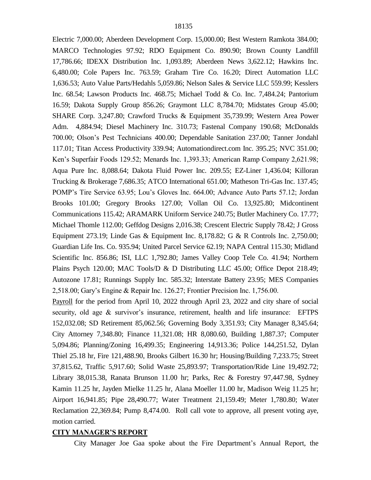Electric 7,000.00; Aberdeen Development Corp. 15,000.00; Best Western Ramkota 384.00; MARCO Technologies 97.92; RDO Equipment Co. 890.90; Brown County Landfill 17,786.66; IDEXX Distribution Inc. 1,093.89; Aberdeen News 3,622.12; Hawkins Inc. 6,480.00; Cole Papers Inc. 763.59; Graham Tire Co. 16.20; Direct Automation LLC 1,636.53; Auto Value Parts/Hedahls 5,059.86; Nelson Sales & Service LLC 559.99; Kesslers Inc. 68.54; Lawson Products Inc. 468.75; Michael Todd & Co. Inc. 7,484.24; Pantorium 16.59; Dakota Supply Group 856.26; Graymont LLC 8,784.70; Midstates Group 45.00; SHARE Corp. 3,247.80; Crawford Trucks & Equipment 35,739.99; Western Area Power Adm. 4,884.94; Diesel Machinery Inc. 310.73; Fastenal Company 190.68; McDonalds 700.00; Olson's Pest Technicians 400.00; Dependable Sanitation 237.00; Tanner Jondahl 117.01; Titan Access Productivity 339.94; Automationdirect.com Inc. 395.25; NVC 351.00; Ken's Superfair Foods 129.52; Menards Inc. 1,393.33; American Ramp Company 2,621.98; Aqua Pure Inc. 8,088.64; Dakota Fluid Power Inc. 209.55; EZ-Liner 1,436.04; Killoran Trucking & Brokerage 7,686.35; ATCO International 651.00; Matheson Tri-Gas Inc. 137.45; POMP's Tire Service 63.95; Lou's Gloves Inc. 664.00; Advance Auto Parts 57.12; Jordan Brooks 101.00; Gregory Brooks 127.00; Vollan Oil Co. 13,925.80; Midcontinent Communications 115.42; ARAMARK Uniform Service 240.75; Butler Machinery Co. 17.77; Michael Thomle 112.00; Geffdog Designs 2,016.38; Crescent Electric Supply 78.42; J Gross Equipment 273.19; Linde Gas & Equipment Inc. 8,178.82; G & R Controls Inc. 2,750.00; Guardian Life Ins. Co. 935.94; United Parcel Service 62.19; NAPA Central 115.30; Midland Scientific Inc. 856.86; ISI, LLC 1,792.80; James Valley Coop Tele Co. 41.94; Northern Plains Psych 120.00; MAC Tools/D & D Distributing LLC 45.00; Office Depot 218.49; Autozone 17.81; Runnings Supply Inc. 585.32; Interstate Battery 23.95; MES Companies 2,518.00; Gary's Engine & Repair Inc. 126.27; Frontier Precision Inc. 1,756.00.

Payroll for the period from April 10, 2022 through April 23, 2022 and city share of social security, old age & survivor's insurance, retirement, health and life insurance: EFTPS 152,032.08; SD Retirement 85,062.56; Governing Body 3,351.93; City Manager 8,345.64; City Attorney 7,348.80; Finance 11,321.08; HR 8,080.60, Building 1,887.37; Computer 5,094.86; Planning/Zoning 16,499.35; Engineering 14,913.36; Police 144,251.52, Dylan Thiel 25.18 hr, Fire 121,488.90, Brooks Gilbert 16.30 hr; Housing/Building 7,233.75; Street 37,815.62, Traffic 5,917.60; Solid Waste 25,893.97; Transportation/Ride Line 19,492.72; Library 38,015.38, Ranata Brunson 11.00 hr; Parks, Rec & Forestry 97,447.98, Sydney Kamin 11.25 hr, Jayden Mielke 11.25 hr, Alana Moeller 11.00 hr, Madison Weig 11.25 hr; Airport 16,941.85; Pipe 28,490.77; Water Treatment 21,159.49; Meter 1,780.80; Water Reclamation 22,369.84; Pump 8,474.00. Roll call vote to approve, all present voting aye, motion carried.

### **CITY MANAGER'S REPORT**

City Manager Joe Gaa spoke about the Fire Department's Annual Report, the